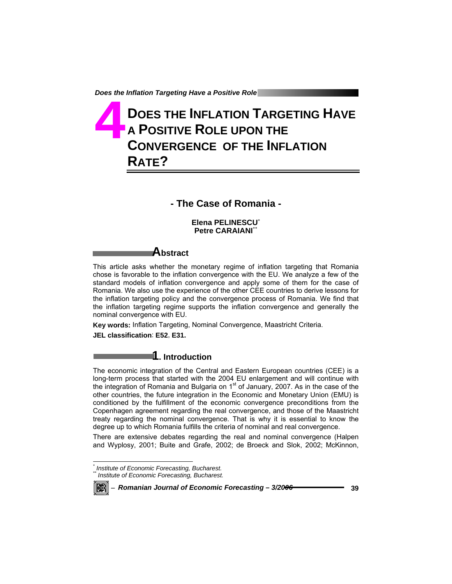# **DOES THE INFLATION TARGETING HAVE A POSITIVE ROLE UPON THE CONVERGENCE OF THE INFLATION RATE? 4**

### **- The Case of Romania -**

**Elena PELINESCU**\* **Petre CARAIANI\*** 

# **Abstract**

This article asks whether the monetary regime of inflation targeting that Romania chose is favorable to the inflation convergence with the EU. We analyze a few of the standard models of inflation convergence and apply some of them for the case of Romania. We also use the experience of the other CEE countries to derive lessons for the inflation targeting policy and the convergence process of Romania. We find that the inflation targeting regime supports the inflation convergence and generally the nominal convergence with EU.

**Key words:** Inflation Targeting, Nominal Convergence, Maastricht Criteria. **JEL classification**: **E52**, **E31.** 

### **1. Introduction**

The economic integration of the Central and Eastern European countries (CEE) is a long-term process that started with the 2004 EU enlargement and will continue with the integration of Romania and Bulgaria on  $1<sup>st</sup>$  of January, 2007. As in the case of the other countries, the future integration in the Economic and Monetary Union (EMU) is conditioned by the fulfillment of the economic convergence preconditions from the Copenhagen agreement regarding the real convergence, and those of the Maastricht treaty regarding the nominal convergence. That is why it is essential to know the degree up to which Romania fulfills the criteria of nominal and real convergence.

There are extensive debates regarding the real and nominal convergence (Halpen and Wyplosy, 2001; Buite and Grafe, 2002; de Broeck and Slok, 2002; McKinnon,

*<sup>\*</sup> Institute of Economic Forecasting, Bucharest.*  **Institute of Economic Forecasting, Bucharest.** 



l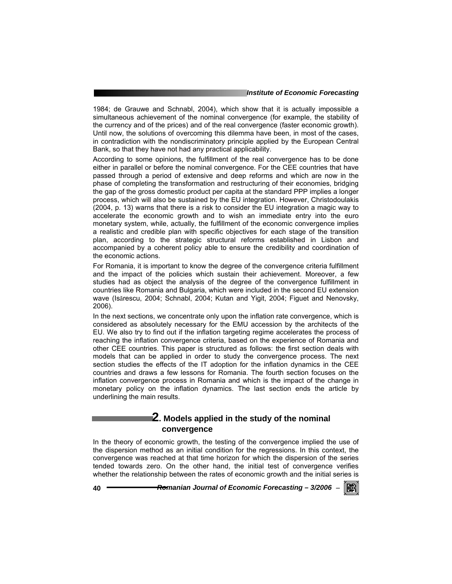1984; de Grauwe and Schnabl, 2004), which show that it is actually impossible a simultaneous achievement of the nominal convergence (for example, the stability of the currency and of the prices) and of the real convergence (faster economic growth). Until now, the solutions of overcoming this dilemma have been, in most of the cases, in contradiction with the nondiscriminatory principle applied by the European Central Bank, so that they have not had any practical applicability.

According to some opinions, the fulfillment of the real convergence has to be done either in parallel or before the nominal convergence. For the CEE countries that have passed through a period of extensive and deep reforms and which are now in the phase of completing the transformation and restructuring of their economies, bridging the gap of the gross domestic product per capita at the standard PPP implies a longer process, which will also be sustained by the EU integration. However, Christodoulakis (2004, p. 13) warns that there is a risk to consider the EU integration a magic way to accelerate the economic growth and to wish an immediate entry into the euro monetary system, while, actually, the fulfillment of the economic convergence implies a realistic and credible plan with specific objectives for each stage of the transition plan, according to the strategic structural reforms established in Lisbon and accompanied by a coherent policy able to ensure the credibility and coordination of the economic actions.

For Romania, it is important to know the degree of the convergence criteria fulfillment and the impact of the policies which sustain their achievement. Moreover, a few studies had as object the analysis of the degree of the convergence fulfillment in countries like Romania and Bulgaria, which were included in the second EU extension wave (Isărescu, 2004; Schnabl, 2004; Kutan and Yigit, 2004; Figuet and Nenovsky, 2006).

In the next sections, we concentrate only upon the inflation rate convergence, which is considered as absolutely necessary for the EMU accession by the architects of the EU. We also try to find out if the inflation targeting regime accelerates the process of reaching the inflation convergence criteria, based on the experience of Romania and other CEE countries. This paper is structured as follows: the first section deals with models that can be applied in order to study the convergence process. The next section studies the effects of the IT adoption for the inflation dynamics in the CEE countries and draws a few lessons for Romania. The fourth section focuses on the inflation convergence process in Romania and which is the impact of the change in monetary policy on the inflation dynamics. The last section ends the article by underlining the main results.

### **2. Models applied in the study of the nominal convergence**

In the theory of economic growth, the testing of the convergence implied the use of the dispersion method as an initial condition for the regressions. In this context, the convergence was reached at that time horizon for which the dispersion of the series tended towards zero. On the other hand, the initial test of convergence verifies whether the relationship between the rates of economic growth and the initial series is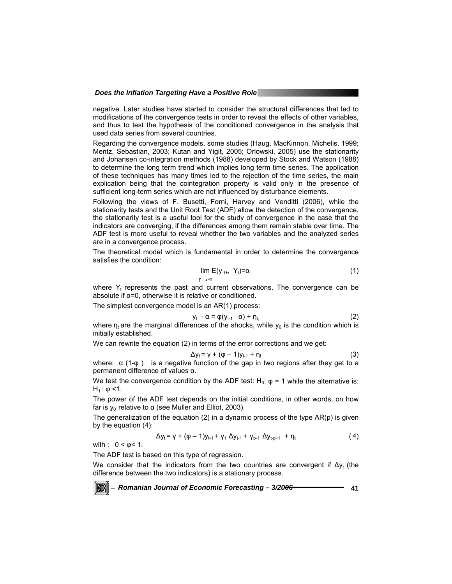negative. Later studies have started to consider the structural differences that led to modifications of the convergence tests in order to reveal the effects of other variables, and thus to test the hypothesis of the conditioned convergence in the analysis that used data series from several countries.

Regarding the convergence models, some studies (Haug, MacKinnon, Michelis, 1999; Mentz, Sebastian, 2003; Kutan and Yigit, 2005; Orlowski, 2005) use the stationarity and Johansen co-integration methods (1988) developed by Stock and Watson (1988) to determine the long term trend which implies long term time series. The application of these techniques has many times led to the rejection of the time series, the main explication being that the cointegration property is valid only in the presence of sufficient long-term series which are not influenced by disturbance elements.

Following the views of F. Busetti, Forni, Harvey and Venditti (2006), while the stationarity tests and the Unit Root Test (ADF) allow the detection of the convergence, the stationarity test is a useful tool for the study of convergence in the case that the indicators are converging, if the differences among them remain stable over time. The ADF test is more useful to reveal whether the two variables and the analyzed series are in a convergence process.

The theoretical model which is fundamental in order to determine the convergence satisfies the condition:

$$
\lim_{\Gamma \to \infty} E(y_{t+r} Y_t) = \alpha_t \tag{1}
$$

where  $Y_t$  represents the past and current observations. The convergence can be absolute if  $\alpha = 0$ , otherwise it is relative or conditioned.

The simplest convergence model is an AR(1) process:

$$
y_t - \alpha = \varphi(y_{t-1} - \alpha) + \eta_{t} \tag{2}
$$

where  $n_t$  are the marginal differences of the shocks, while  $y_0$  is the condition which is initially established.

We can rewrite the equation (2) in terms of the error corrections and we get:

$$
\Delta y_t = \gamma + (\varphi - 1)y_{t-1} + \eta_t \tag{3}
$$

where:  $\alpha$  (1- $\varphi$ ) is a negative function of the gap in two regions after they get to a permanent difference of values α.

We test the convergence condition by the ADF test:  $H_0$ :  $\varphi = 1$  while the alternative is:  $H_1$ : φ <1.

The power of the ADF test depends on the initial conditions, in other words, on how far is  $y_0$  relative to α (see Muller and Elliot, 2003).

The generalization of the equation  $(2)$  in a dynamic process of the type  $AR(p)$  is given by the equation (4):

$$
\Delta y_t = \gamma + (\varphi - 1)y_{t-1} + \gamma_1 \Delta y_{t-1} + \gamma_{p-1} \Delta y_{t-p+1} + \eta_t
$$
 (4)

with :  $0 < ϕ < 1$ .

The ADF test is based on this type of regression.

We consider that the indicators from the two countries are convergent if  $\Delta v_t$  (the difference between the two indicators) is a stationary process.

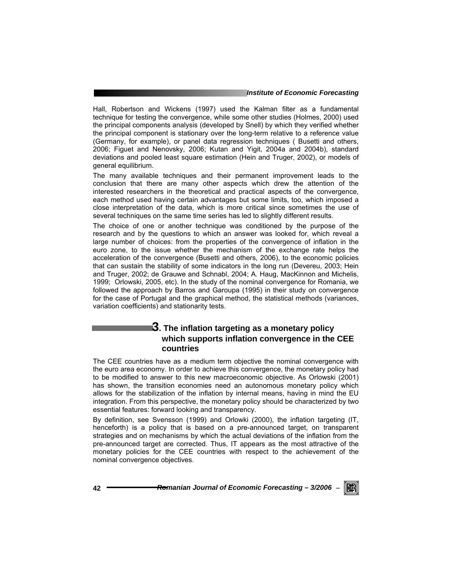#### *Institute of Economic Forecasting*

Hall, Robertson and Wickens (1997) used the Kalman filter as a fundamental technique for testing the convergence, while some other studies (Holmes, 2000) used the principal components analysis (developed by Snell) by which they verified whether the principal component is stationary over the long-term relative to a reference value (Germany, for example), or panel data regression techniques ( Busetti and others, 2006; Figuet and Nenovsky, 2006; Kutan and Yigit, 2004a and 2004b), standard deviations and pooled least square estimation (Hein and Truger, 2002), or models of general equilibrium.

The many available techniques and their permanent improvement leads to the conclusion that there are many other aspects which drew the attention of the interested researchers in the theoretical and practical aspects of the convergence, each method used having certain advantages but some limits, too, which imposed a close interpretation of the data, which is more critical since sometimes the use of several techniques on the same time series has led to slightly different results.

The choice of one or another technique was conditioned by the purpose of the research and by the questions to which an answer was looked for, which reveal a large number of choices: from the properties of the convergence of inflation in the euro zone, to the issue whether the mechanism of the exchange rate helps the acceleration of the convergence (Busetti and others, 2006), to the economic policies that can sustain the stability of some indicators in the long run (Devereu, 2003; Hein and Truger, 2002; de Grauwe and Schnabl, 2004; A. Haug, MacKinnon and Michelis, 1999; Orlowski, 2005, etc). In the study of the nominal convergence for Romania, we followed the approach by Barros and Garoupa (1995) in their study on convergence for the case of Portugal and the graphical method, the statistical methods (variances, variation coefficients) and stationarity tests.

### **3. The inflation targeting as a monetary policy which supports inflation convergence in the CEE countries**

The CEE countries have as a medium term objective the nominal convergence with the euro area economy. In order to achieve this convergence, the monetary policy had to be modified to answer to this new macroeconomic objective. As Orlowski (2001) has shown, the transition economies need an autonomous monetary policy which allows for the stabilization of the inflation by internal means, having in mind the EU integration. From this perspective, the monetary policy should be characterized by two essential features: forward looking and transparency.

By definition, see Svensson (1999) and Orlowki (2000), the inflation targeting (IT, henceforth) is a policy that is based on a pre-announced target, on transparent strategies and on mechanisms by which the actual deviations of the inflation from the pre-announced target are corrected. Thus, IT appears as the most attractive of the monetary policies for the CEE countries with respect to the achievement of the nominal convergence objectives.

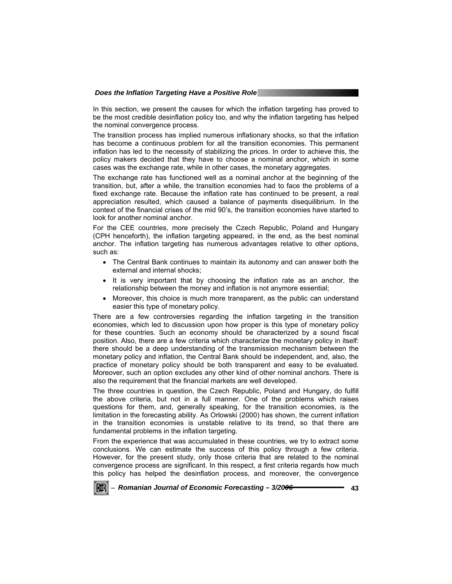In this section, we present the causes for which the inflation targeting has proved to be the most credible desinflation policy too, and why the inflation targeting has helped the nominal convergence process.

The transition process has implied numerous inflationary shocks, so that the inflation has become a continuous problem for all the transition economies. This permanent inflation has led to the necessity of stabilizing the prices. In order to achieve this, the policy makers decided that they have to choose a nominal anchor, which in some cases was the exchange rate, while in other cases, the monetary aggregates.

The exchange rate has functioned well as a nominal anchor at the beginning of the transition, but, after a while, the transition economies had to face the problems of a fixed exchange rate. Because the inflation rate has continued to be present, a real appreciation resulted, which caused a balance of payments disequilibrium. In the context of the financial crises of the mid 90's, the transition economies have started to look for another nominal anchor.

For the CEE countries, more precisely the Czech Republic, Poland and Hungary (CPH henceforth), the inflation targeting appeared, in the end, as the best nominal anchor. The inflation targeting has numerous advantages relative to other options, such as:

- The Central Bank continues to maintain its autonomy and can answer both the external and internal shocks;
- It is very important that by choosing the inflation rate as an anchor, the relationship between the money and inflation is not anymore essential;
- Moreover, this choice is much more transparent, as the public can understand easier this type of monetary policy.

There are a few controversies regarding the inflation targeting in the transition economies, which led to discussion upon how proper is this type of monetary policy for these countries. Such an economy should be characterized by a sound fiscal position. Also, there are a few criteria which characterize the monetary policy in itself: there should be a deep understanding of the transmission mechanism between the monetary policy and inflation, the Central Bank should be independent, and, also, the practice of monetary policy should be both transparent and easy to be evaluated. Moreover, such an option excludes any other kind of other nominal anchors. There is also the requirement that the financial markets are well developed.

The three countries in question, the Czech Republic, Poland and Hungary, do fulfill the above criteria, but not in a full manner. One of the problems which raises questions for them, and, generally speaking, for the transition economies, is the limitation in the forecasting ability. As Orlowski (2000) has shown, the current inflation in the transition economies is unstable relative to its trend, so that there are fundamental problems in the inflation targeting.

From the experience that was accumulated in these countries, we try to extract some conclusions. We can estimate the success of this policy through a few criteria. However, for the present study, only those criteria that are related to the nominal convergence process are significant. In this respect, a first criteria regards how much this policy has helped the desinflation process, and moreover, the convergence

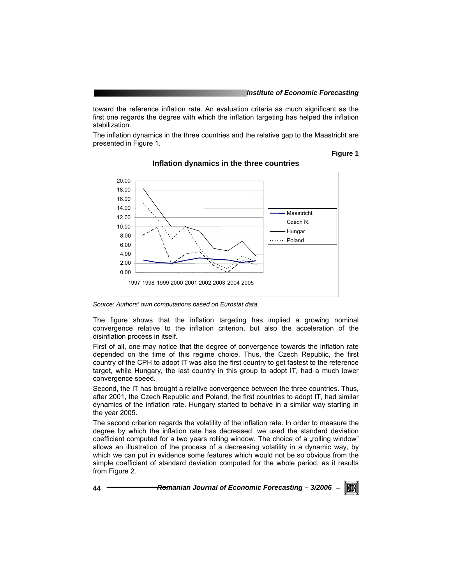toward the reference inflation rate. An evaluation criteria as much significant as the first one regards the degree with which the inflation targeting has helped the inflation stabilization.

The inflation dynamics in the three countries and the relative gap to the Maastricht are presented in Figure 1.

#### **Figure 1**



#### **Inflation dynamics in the three countries**

*Source: Authors' own computations based on Eurostat data.* 

The figure shows that the inflation targeting has implied a growing nominal convergence relative to the inflation criterion, but also the acceleration of the disinflation process in itself.

First of all, one may notice that the degree of convergence towards the inflation rate depended on the time of this regime choice. Thus, the Czech Republic, the first country of the CPH to adopt IT was also the first country to get fastest to the reference target, while Hungary, the last country in this group to adopt IT, had a much lower convergence speed.

Second, the IT has brought a relative convergence between the three countries. Thus, after 2001, the Czech Republic and Poland, the first countries to adopt IT, had similar dynamics of the inflation rate. Hungary started to behave in a similar way starting in the year 2005.

The second criterion regards the volatility of the inflation rate. In order to measure the degree by which the inflation rate has decreased, we used the standard deviation coefficient computed for a two years rolling window. The choice of a "rolling window" allows an illustration of the process of a decreasing volatility in a dynamic way, by which we can put in evidence some features which would not be so obvious from the simple coefficient of standard deviation computed for the whole period, as it results from Figure 2.

**44** *Romanian Journal of Economic Forecasting – 3/2006* <sup>−</sup>

KB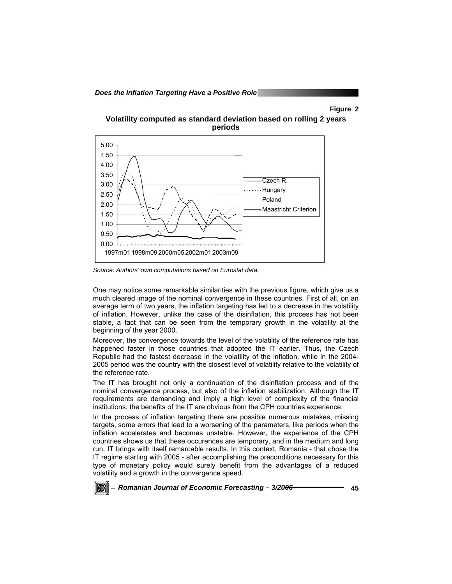#### **Figure 2**





*Source: Authors' own computations based on Eurostat data.* 

One may notice some remarkable similarities with the previous figure, which give us a much cleared image of the nominal convergence in these countries. First of all, on an average term of two years, the inflation targeting has led to a decrease in the volatility of inflation. However, unlike the case of the disinflation, this process has not been stable, a fact that can be seen from the temporary growth in the volatility at the beginning of the year 2000.

Moreover, the convergence towards the level of the volatility of the reference rate has happened faster in those countries that adopted the IT earlier. Thus, the Czech Republic had the fastest decrease in the volatility of the inflation, while in the 2004- 2005 period was the country with the closest level of volatility relative to the volatility of the reference rate.

The IT has brought not only a continuation of the disinflation process and of the nominal convergence process, but also of the inflation stabilization. Although the IT requirements are demanding and imply a high level of complexity of the financial institutions, the benefits of the IT are obvious from the CPH countries experience.

In the process of inflation targeting there are possible numerous mistakes, missing targets, some errors that lead to a worsening of the parameters, like periods when the inflation accelerates and becomes unstable. However, the experience of the CPH countries shows us that these occurences are temporary, and in the medium and long run, IT brings with itself remarcable results. In this context, Romania - that chose the IT regime starting with 2005 - after accomplishing the preconditions necessary for this type of monetary policy would surely benefit from the advantages of a reduced volatility and a growth in the convergence speed.

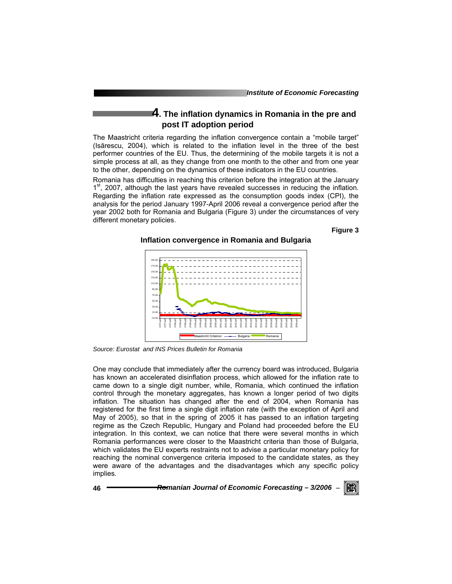# **4. The inflation dynamics in Romania in the pre and post IT adoption period**

The Maastricht criteria regarding the inflation convergence contain a "mobile target" (Isărescu, 2004), which is related to the inflation level in the three of the best performer countries of the EU. Thus, the determining of the mobile targets it is not a simple process at all, as they change from one month to the other and from one year to the other, depending on the dynamics of these indicators in the EU countries.

Romania has difficulties in reaching this criterion before the integration at the January  $1<sup>st</sup>$ , 2007, although the last years have revealed successes in reducing the inflation. Regarding the inflation rate expressed as the consumption goods index (CPI), the analysis for the period January 1997-April 2006 reveal a convergence period after the year 2002 both for Romania and Bulgaria (Figure 3) under the circumstances of very different monetary policies.

**Figure 3** 

#### **Inflation convergence in Romania and Bulgaria**



*Source: Eurostat and INS Prices Bulletin for Romania* 

One may conclude that immediately after the currency board was introduced, Bulgaria has known an accelerated disinflation process, which allowed for the inflation rate to came down to a single digit number, while, Romania, which continued the inflation control through the monetary aggregates, has known a longer period of two digits inflation. The situation has changed after the end of 2004, when Romania has registered for the first time a single digit inflation rate (with the exception of April and May of 2005), so that in the spring of 2005 it has passed to an inflation targeting regime as the Czech Republic, Hungary and Poland had proceeded before the EU integration. In this context, we can notice that there were several months in which Romania performances were closer to the Maastricht criteria than those of Bulgaria, which validates the EU experts restraints not to advise a particular monetary policy for reaching the nominal convergence criteria imposed to the candidate states, as they were aware of the advantages and the disadvantages which any specific policy implies.

**46** *Romanian Journal of Economic Forecasting – 3/2006* <sup>−</sup>

IKBI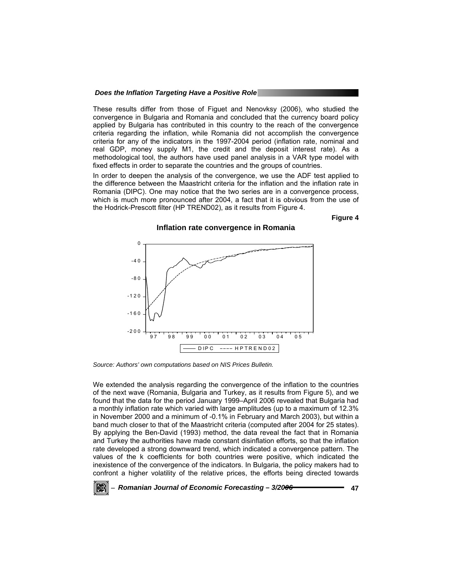These results differ from those of Figuet and Nenovksy (2006), who studied the convergence in Bulgaria and Romania and concluded that the currency board policy applied by Bulgaria has contributed in this country to the reach of the convergence criteria regarding the inflation, while Romania did not accomplish the convergence criteria for any of the indicators in the 1997-2004 period (inflation rate, nominal and real GDP, money supply M1, the credit and the deposit interest rate). As a methodological tool, the authors have used panel analysis in a VAR type model with fixed effects in order to separate the countries and the groups of countries.

In order to deepen the analysis of the convergence, we use the ADF test applied to the difference between the Maastricht criteria for the inflation and the inflation rate in Romania (DIPC). One may notice that the two series are in a convergence process, which is much more pronounced after 2004, a fact that it is obvious from the use of the Hodrick-Prescott filter (HP TREND02), as it results from Figure 4.

**Figure 4** 



**Inflation rate convergence in Romania** 

*Source: Authors' own computations based on NIS Prices Bulletin.* 

We extended the analysis regarding the convergence of the inflation to the countries of the next wave (Romania, Bulgaria and Turkey, as it results from Figure 5), and we found that the data for the period January 1999–April 2006 revealed that Bulgaria had a monthly inflation rate which varied with large amplitudes (up to a maximum of 12.3% in November 2000 and a minimum of -0.1% in February and March 2003), but within a band much closer to that of the Maastricht criteria (computed after 2004 for 25 states). By applying the Ben-David (1993) method, the data reveal the fact that in Romania and Turkey the authorities have made constant disinflation efforts, so that the inflation rate developed a strong downward trend, which indicated a convergence pattern. The values of the k coefficients for both countries were positive, which indicated the inexistence of the convergence of the indicators. In Bulgaria, the policy makers had to confront a higher volatility of the relative prices, the efforts being directed towards

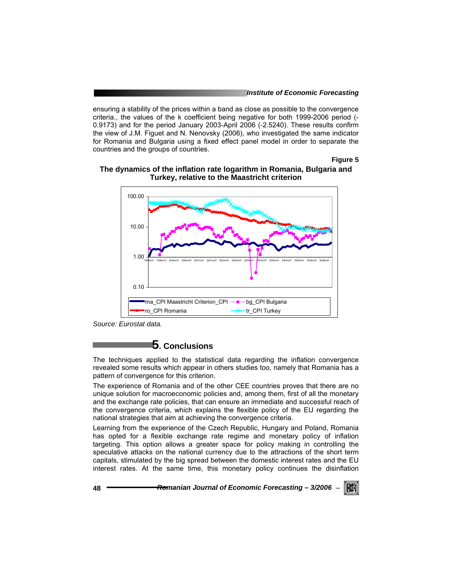ensuring a stability of the prices within a band as close as possible to the convergence criteria., the values of the k coefficient being negative for both 1999-2006 period (- 0.9173) and for the period January 2003-April 2006 (-2.5240). These results confirm the view of J.M. Figuet and N. Nenovsky (2006), who investigated the same indicator for Romania and Bulgaria using a fixed effect panel model in order to separate the countries and the groups of countries.

**Figure 5** 



#### **The dynamics of the inflation rate logarithm in Romania, Bulgaria and Turkey, relative to the Maastricht criterion**

*Source: Eurostat data.* 

# **5. Conclusions**

The techniques applied to the statistical data regarding the inflation convergence revealed some results which appear in others studies too, namely that Romania has a pattern of convergence for this criterion.

The experience of Romania and of the other CEE countries proves that there are no unique solution for macroeconomic policies and, among them, first of all the monetary and the exchange rate policies, that can ensure an immediate and successful reach of the convergence criteria, which explains the flexible policy of the EU regarding the national strategies that aim at achieving the convergence criteria.

Learning from the experience of the Czech Republic, Hungary and Poland, Romania has opted for a flexible exchange rate regime and monetary policy of inflation targeting. This option allows a greater space for policy making in controlling the speculative attacks on the national currency due to the attractions of the short term capitals, stimulated by the big spread between the domestic interest rates and the EU interest rates. At the same time, this monetary policy continues the disinflation

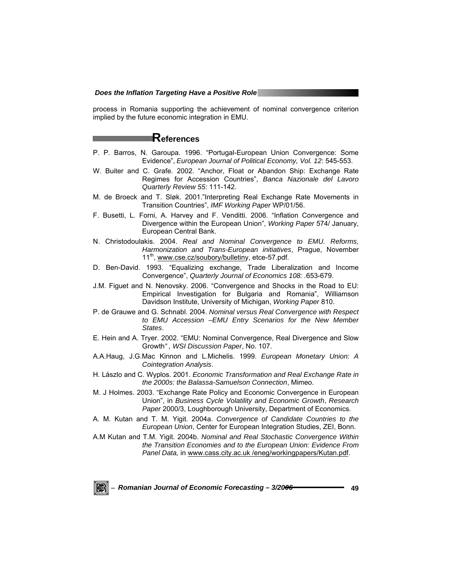process in Romania supporting the achievement of nominal convergence criterion implied by the future economic integration in EMU.

# **References**

- P. P. Barros, N. Garoupa. 1996. "Portugal-European Union Convergence: Some Evidence", *European Journal of Political Economy, Vol. 12*: 545-553.
- W. Buiter and C. Grafe. 2002. "Anchor, Float or Abandon Ship: Exchange Rate Regimes for Accession Countries", *Banca Nazionale del Lavoro Quarterly Review 55*: 111-142.
- M. de Broeck and T. Sløk. 2001."Interpreting Real Exchange Rate Movements in Transition Countries", *IMF Working Paper* WP/01/56.
- F. Busetti, L. Forni, A. Harvey and F. Venditti. 2006. "Inflation Convergence and Divergence within the European Union", *Working Paper* 574/ January, European Central Bank.
- N. Christodoulakis. 2004. *Real and Nominal Convergence to EMU. Reforms, Harmonization and Trans-European initiatives*, Prague, November 11<sup>th</sup>, www.cse.cz/soubory/bulletiny, etce-57.pdf.
- D. Ben-David. 1993. "Equalizing exchange, Trade Liberalization and Income Convergence", *Quarterly Journal of Economics 108: .*653-679.
- J.M. Figuet and N. Nenovsky. 2006. "Convergence and Shocks in the Road to EU: Empirical Investigation for Bulgaria and Romania", Williamson Davidson Institute, University of Michigan, *Working Paper* 810.
- P. de Grauwe and G. Schnabl. 2004. *Nominal versus Real Convergence with Respect to EMU Accession –EMU Entry Scenarios for the New Member States*.
- E. Hein and A. Tryer. 2002. "EMU: Nominal Convergence, Real Divergence and Slow Growth*" , WSI Discussion Paper*, No. 107.
- A.A.Haug, J.G.Mac Kinnon and L.Michelis. 1999. *European Monetary Union: A Cointegration Analysis*.
- H. Lászlo and C. Wyplos. 2001. *Economic Transformation and Real Exchange Rate in the 2000s: the Balassa-Samuelson Connection*, Mimeo.
- M. J Holmes. 2003. "Exchange Rate Policy and Economic Convergence in European Union", in *Business Cycle Volatility and Economic Growth*, *Research Paper* 2000/3, Loughborough University, Department of Economics.
- A. M. Kutan and T. M. Yigit. 2004a. *Convergence of Candidate Countries to the European Union*, Center for European Integration Studies, ZEI, Bonn.
- A.M Kutan and T.M. Yigit. 2004b. *Nominal and Real Stochastic Convergence Within the Transition Economies and to the European Union: Evidence From Panel Data,* in www.cass.city.ac.uk /eneg/workingpapers/Kutan.pdf.